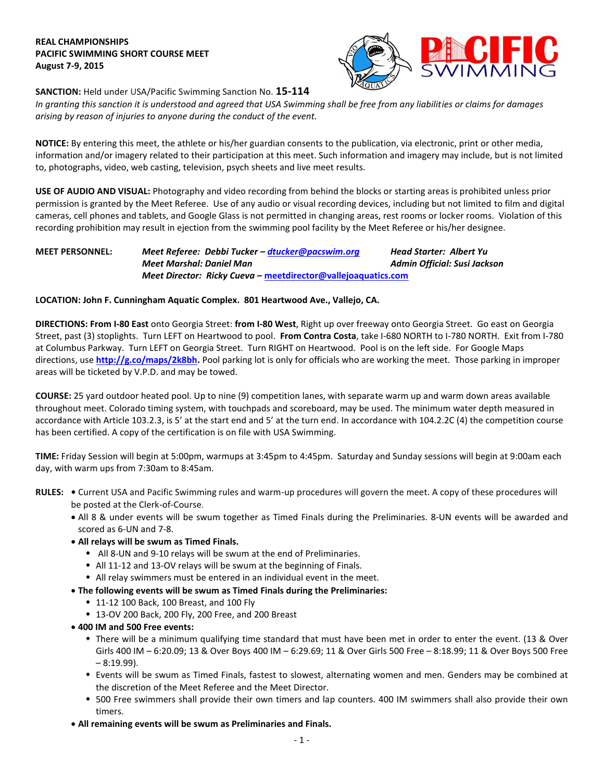## **REAL CHAMPIONSHIPS PACIFIC SWIMMING SHORT COURSE MEET August 7-9, 2015**



**SANCTION:** Held under USA/Pacific Swimming Sanction No. **15-114**

*In granting this sanction it is understood and agreed that USA Swimming shall be free from any liabilities or claims for damages arising by reason of injuries to anyone during the conduct of the event.*

**NOTICE:** By entering this meet, the athlete or his/her guardian consents to the publication, via electronic, print or other media, information and/or imagery related to their participation at this meet. Such information and imagery may include, but is not limited to, photographs, video, web casting, television, psych sheets and live meet results.

**USE OF AUDIO AND VISUAL:** Photography and video recording from behind the blocks or starting areas is prohibited unless prior permission is granted by the Meet Referee. Use of any audio or visual recording devices, including but not limited to film and digital cameras, cell phones and tablets, and Google Glass is not permitted in changing areas, rest rooms or locker rooms. Violation of this recording prohibition may result in ejection from the swimming pool facility by the Meet Referee or his/her designee.

## **MEET PERSONNEL:** *Meet Referee: Debbi Tucker – [dtucker@pacswim.org](mailto:dtucker@pacswim.org) Head Starter: Albert Yu Meet Marshal: Daniel Man Admin Official: Susi Jackson Meet Director: Ricky Cueva –* **[meetdirector@vallejoaquatics.com](mailto:meetdirector@vallejoaquatics.com)**

## **LOCATION: John F. Cunningham Aquatic Complex. 801 Heartwood Ave., Vallejo, CA.**

**DIRECTIONS: From I-80 East** onto Georgia Street: **from I-80 West**, Right up over freeway onto Georgia Street. Go east on Georgia Street, past (3) stoplights. Turn LEFT on Heartwood to pool. **From Contra Costa**, take I-680 NORTH to I-780 NORTH. Exit from I-780 at Columbus Parkway. Turn LEFT on Georgia Street. Turn RIGHT on Heartwood. Pool is on the left side. For Google Maps directions, use **[http://g.co/maps/2k8bh.](http://g.co/maps/2k8bh)** Pool parking lot is only for officials who are working the meet. Those parking in improper areas will be ticketed by V.P.D. and may be towed.

**COURSE:** 25 yard outdoor heated pool. Up to nine (9) competition lanes, with separate warm up and warm down areas available throughout meet. Colorado timing system, with touchpads and scoreboard, may be used. The minimum water depth measured in accordance with Article 103.2.3, is 5' at the start end and 5' at the turn end. In accordance with 104.2.2C (4) the competition course has been certified. A copy of the certification is on file with USA Swimming.

**TIME:** Friday Session will begin at 5:00pm, warmups at 3:45pm to 4:45pm. Saturday and Sunday sessions will begin at 9:00am each day, with warm ups from 7:30am to 8:45am.

- **RULES:** Current USA and Pacific Swimming rules and warm-up procedures will govern the meet. A copy of these procedures will be posted at the Clerk-of-Course.
	- All 8 & under events will be swum together as Timed Finals during the Preliminaries. 8-UN events will be awarded and scored as 6-UN and 7-8.
	- **All relays will be swum as Timed Finals.**
		- All 8-UN and 9-10 relays will be swum at the end of Preliminaries.
		- All 11-12 and 13-OV relays will be swum at the beginning of Finals.
		- All relay swimmers must be entered in an individual event in the meet.
	- **The following events will be swum as Timed Finals during the Preliminaries:**
		- 11-12 100 Back, 100 Breast, and 100 Fly
		- 13-OV 200 Back, 200 Fly, 200 Free, and 200 Breast
	- **400 IM and 500 Free events:**
		- There will be a minimum qualifying time standard that must have been met in order to enter the event. (13 & Over Girls 400 IM – 6:20.09; 13 & Over Boys 400 IM – 6:29.69; 11 & Over Girls 500 Free – 8:18.99; 11 & Over Boys 500 Free  $-8:19.99$ ).
		- Events will be swum as Timed Finals, fastest to slowest, alternating women and men. Genders may be combined at the discretion of the Meet Referee and the Meet Director.
		- 500 Free swimmers shall provide their own timers and lap counters. 400 IM swimmers shall also provide their own timers.
	- **All remaining events will be swum as Preliminaries and Finals.**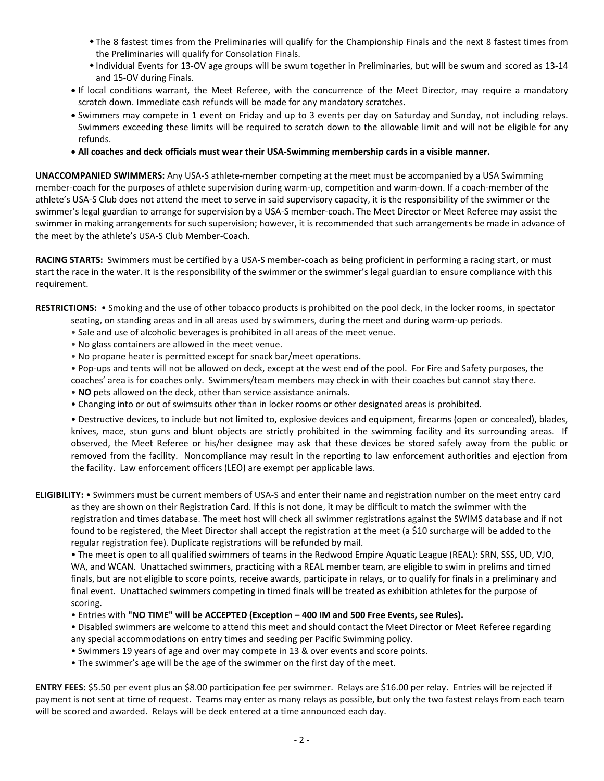- The 8 fastest times from the Preliminaries will qualify for the Championship Finals and the next 8 fastest times from the Preliminaries will qualify for Consolation Finals.
- Individual Events for 13-OV age groups will be swum together in Preliminaries, but will be swum and scored as 13-14 and 15-OV during Finals.
- If local conditions warrant, the Meet Referee, with the concurrence of the Meet Director, may require a mandatory scratch down. Immediate cash refunds will be made for any mandatory scratches.
- Swimmers may compete in 1 event on Friday and up to 3 events per day on Saturday and Sunday, not including relays. Swimmers exceeding these limits will be required to scratch down to the allowable limit and will not be eligible for any refunds.
- **All coaches and deck officials must wear their USA-Swimming membership cards in a visible manner.**

**UNACCOMPANIED SWIMMERS:** Any USA-S athlete-member competing at the meet must be accompanied by a USA Swimming member-coach for the purposes of athlete supervision during warm-up, competition and warm-down. If a coach-member of the athlete's USA-S Club does not attend the meet to serve in said supervisory capacity, it is the responsibility of the swimmer or the swimmer's legal guardian to arrange for supervision by a USA-S member-coach. The Meet Director or Meet Referee may assist the swimmer in making arrangements for such supervision; however, it is recommended that such arrangements be made in advance of the meet by the athlete's USA-S Club Member-Coach.

**RACING STARTS:** Swimmers must be certified by a USA-S member-coach as being proficient in performing a racing start, or must start the race in the water. It is the responsibility of the swimmer or the swimmer's legal guardian to ensure compliance with this requirement.

**RESTRICTIONS:** • Smoking and the use of other tobacco products is prohibited on the pool deck, in the locker rooms, in spectator

- seating, on standing areas and in all areas used by swimmers, during the meet and during warm-up periods.
	- Sale and use of alcoholic beverages is prohibited in all areas of the meet venue.
	- No glass containers are allowed in the meet venue.
	- No propane heater is permitted except for snack bar/meet operations.

• Pop-ups and tents will not be allowed on deck, except at the west end of the pool. For Fire and Safety purposes, the coaches' area is for coaches only. Swimmers/team members may check in with their coaches but cannot stay there.

- **NO** pets allowed on the deck, other than service assistance animals.
- Changing into or out of swimsuits other than in locker rooms or other designated areas is prohibited.

• Destructive devices, to include but not limited to, explosive devices and equipment, firearms (open or concealed), blades, knives, mace, stun guns and blunt objects are strictly prohibited in the swimming facility and its surrounding areas. If observed, the Meet Referee or his/her designee may ask that these devices be stored safely away from the public or removed from the facility. Noncompliance may result in the reporting to law enforcement authorities and ejection from the facility. Law enforcement officers (LEO) are exempt per applicable laws.

**ELIGIBILITY:** • Swimmers must be current members of USA-S and enter their name and registration number on the meet entry card as they are shown on their Registration Card. If this is not done, it may be difficult to match the swimmer with the registration and times database. The meet host will check all swimmer registrations against the SWIMS database and if not found to be registered, the Meet Director shall accept the registration at the meet (a \$10 surcharge will be added to the regular registration fee). Duplicate registrations will be refunded by mail.

• The meet is open to all qualified swimmers of teams in the Redwood Empire Aquatic League (REAL): SRN, SSS, UD, VJO, WA, and WCAN. Unattached swimmers, practicing with a REAL member team, are eligible to swim in prelims and timed finals, but are not eligible to score points, receive awards, participate in relays, or to qualify for finals in a preliminary and final event. Unattached swimmers competing in timed finals will be treated as exhibition athletes for the purpose of scoring.

- Entries with **"NO TIME" will be ACCEPTED (Exception – 400 IM and 500 Free Events, see Rules).**
- Disabled swimmers are welcome to attend this meet and should contact the Meet Director or Meet Referee regarding any special accommodations on entry times and seeding per Pacific Swimming policy.
- Swimmers 19 years of age and over may compete in 13 & over events and score points.
- The swimmer's age will be the age of the swimmer on the first day of the meet.

**ENTRY FEES:** \$5.50 per event plus an \$8.00 participation fee per swimmer. Relays are \$16.00 per relay. Entries will be rejected if payment is not sent at time of request. Teams may enter as many relays as possible, but only the two fastest relays from each team will be scored and awarded. Relays will be deck entered at a time announced each day.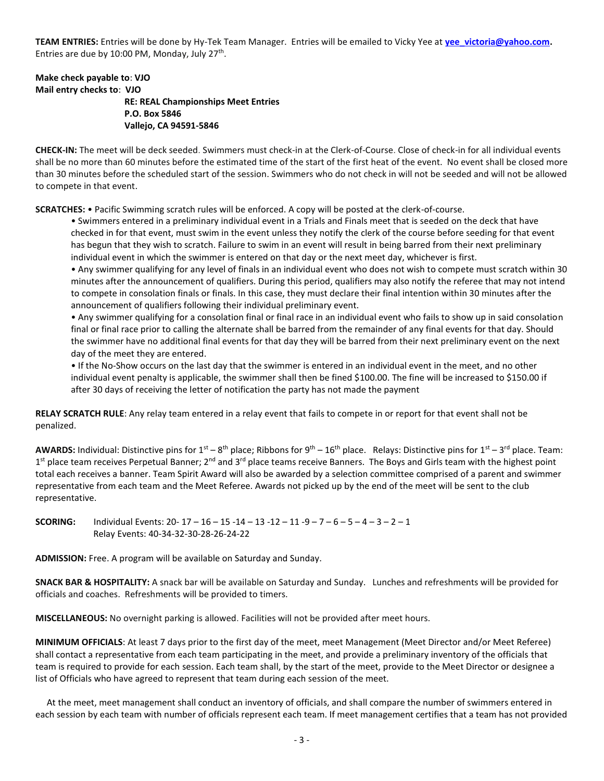**TEAM ENTRIES:** Entries will be done by Hy-Tek Team Manager. Entries will be emailed to Vicky Yee at **[yee\\_victoria@yahoo.com.](mailto:yee_victoria@yahoo.com)** Entries are due by 10:00 PM, Monday, July 27<sup>th</sup>.

## **Make check payable to**: **VJO Mail entry checks to**: **VJO**

# **RE: REAL Championships Meet Entries P.O. Box 5846 Vallejo, CA 94591-5846**

**CHECK-IN:** The meet will be deck seeded. Swimmers must check-in at the Clerk-of-Course. Close of check-in for all individual events shall be no more than 60 minutes before the estimated time of the start of the first heat of the event. No event shall be closed more than 30 minutes before the scheduled start of the session. Swimmers who do not check in will not be seeded and will not be allowed to compete in that event.

**SCRATCHES:** • Pacific Swimming scratch rules will be enforced. A copy will be posted at the clerk-of-course.

• Swimmers entered in a preliminary individual event in a Trials and Finals meet that is seeded on the deck that have checked in for that event, must swim in the event unless they notify the clerk of the course before seeding for that event has begun that they wish to scratch. Failure to swim in an event will result in being barred from their next preliminary individual event in which the swimmer is entered on that day or the next meet day, whichever is first.

• Any swimmer qualifying for any level of finals in an individual event who does not wish to compete must scratch within 30 minutes after the announcement of qualifiers. During this period, qualifiers may also notify the referee that may not intend to compete in consolation finals or finals. In this case, they must declare their final intention within 30 minutes after the announcement of qualifiers following their individual preliminary event.

• Any swimmer qualifying for a consolation final or final race in an individual event who fails to show up in said consolation final or final race prior to calling the alternate shall be barred from the remainder of any final events for that day. Should the swimmer have no additional final events for that day they will be barred from their next preliminary event on the next day of the meet they are entered.

• If the No-Show occurs on the last day that the swimmer is entered in an individual event in the meet, and no other individual event penalty is applicable, the swimmer shall then be fined \$100.00. The fine will be increased to \$150.00 if after 30 days of receiving the letter of notification the party has not made the payment

**RELAY SCRATCH RULE**: Any relay team entered in a relay event that fails to compete in or report for that event shall not be penalized.

AWARDS: Individual: Distinctive pins for 1<sup>st</sup> – 8<sup>th</sup> place; Ribbons for 9<sup>th</sup> – 16<sup>th</sup> place. Relays: Distinctive pins for 1<sup>st</sup> – 3<sup>rd</sup> place. Team: 1<sup>st</sup> place team receives Perpetual Banner; 2<sup>nd</sup> and 3<sup>rd</sup> place teams receive Banners. The Boys and Girls team with the highest point total each receives a banner. Team Spirit Award will also be awarded by a selection committee comprised of a parent and swimmer representative from each team and the Meet Referee. Awards not picked up by the end of the meet will be sent to the club representative.

**SCORING:** Individual Events: 20- 17 – 16 – 15 -14 – 13 -12 – 11 -9 – 7 – 6 – 5 – 4 – 3 – 2 – 1 Relay Events: 40-34-32-30-28-26-24-22

**ADMISSION:** Free. A program will be available on Saturday and Sunday.

**SNACK BAR & HOSPITALITY:** A snack bar will be available on Saturday and Sunday. Lunches and refreshments will be provided for officials and coaches. Refreshments will be provided to timers.

**MISCELLANEOUS:** No overnight parking is allowed. Facilities will not be provided after meet hours.

**MINIMUM OFFICIALS**: At least 7 days prior to the first day of the meet, meet Management (Meet Director and/or Meet Referee) shall contact a representative from each team participating in the meet, and provide a preliminary inventory of the officials that team is required to provide for each session. Each team shall, by the start of the meet, provide to the Meet Director or designee a list of Officials who have agreed to represent that team during each session of the meet.

 At the meet, meet management shall conduct an inventory of officials, and shall compare the number of swimmers entered in each session by each team with number of officials represent each team. If meet management certifies that a team has not provided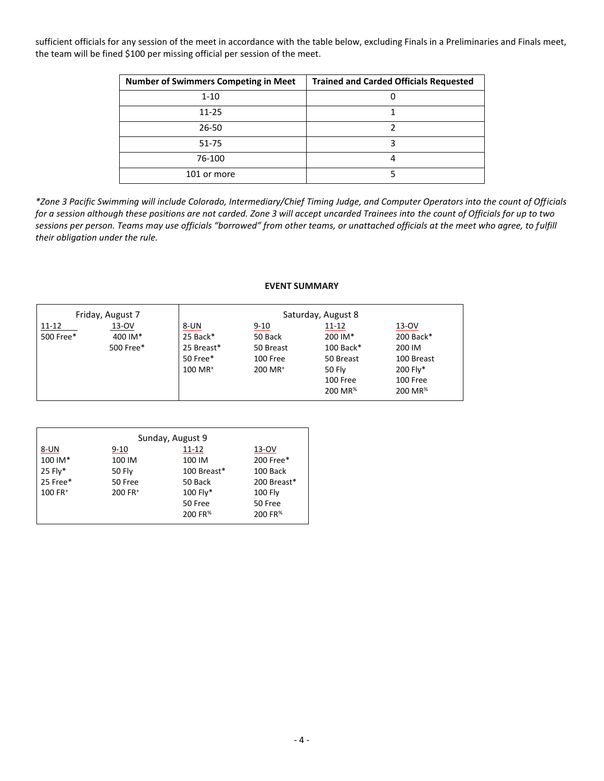sufficient officials for any session of the meet in accordance with the table below, excluding Finals in a Preliminaries and Finals meet, the team will be fined \$100 per missing official per session of the meet.

| <b>Number of Swimmers Competing in Meet</b> | <b>Trained and Carded Officials Requested</b> |
|---------------------------------------------|-----------------------------------------------|
| $1 - 10$                                    |                                               |
| 11-25                                       |                                               |
| 26-50                                       |                                               |
| 51-75                                       |                                               |
| 76-100                                      |                                               |
| 101 or more                                 |                                               |

*\*Zone 3 Pacific Swimming will include Colorado, Intermediary/Chief Timing Judge, and Computer Operators into the count of Officials for a session although these positions are not carded. Zone 3 will accept uncarded Trainees into the count of Officials for up to two sessions per person. Teams may use officials "borrowed" from other teams, or unattached officials at the meet who agree, to fulfill their obligation under the rule.*

#### **EVENT SUMMARY**

| Friday, August 7 |           |                       | Saturday, August 8  |                     |                     |  |  |  |  |
|------------------|-----------|-----------------------|---------------------|---------------------|---------------------|--|--|--|--|
| 11-12            | 13-OV     | 8-UN                  | $9 - 10$            | $11 - 12$           | 13-OV               |  |  |  |  |
| 500 Free*        | 400 IM*   | 25 Back*              | 50 Back             | 200 IM*             | 200 Back*           |  |  |  |  |
|                  | 500 Free* | 25 Breast*            | 50 Breast           | $100$ Back*         | 200 IM              |  |  |  |  |
|                  |           | 50 Free*              | 100 Free            | 50 Breast           | 100 Breast          |  |  |  |  |
|                  |           | $100$ MR <sup>+</sup> | 200 MR <sup>+</sup> | 50 Fly              | 200 Fly*            |  |  |  |  |
|                  |           |                       |                     | 100 Free            | 100 Free            |  |  |  |  |
|                  |           |                       |                     | 200 MR <sup>%</sup> | 200 MR <sup>%</sup> |  |  |  |  |

| Sunday, August 9      |               |                     |                     |  |  |  |  |  |  |
|-----------------------|---------------|---------------------|---------------------|--|--|--|--|--|--|
| 8-UN                  | $9 - 10$      | $11 - 12$           | 13-OV               |  |  |  |  |  |  |
| 100 IM*               | 100 IM        | 100 IM              | 200 Free*           |  |  |  |  |  |  |
| 25 Fly*               | <b>50 Fly</b> | 100 Breast*         | 100 Back            |  |  |  |  |  |  |
| 25 Free*              | 50 Free       | 50 Back             | 200 Breast*         |  |  |  |  |  |  |
| $100$ FR <sup>+</sup> | 200 FR+       | 100 Fly*            | <b>100 Fly</b>      |  |  |  |  |  |  |
|                       |               | 50 Free             | 50 Free             |  |  |  |  |  |  |
|                       |               | 200 FR <sup>%</sup> | 200 FR <sup>%</sup> |  |  |  |  |  |  |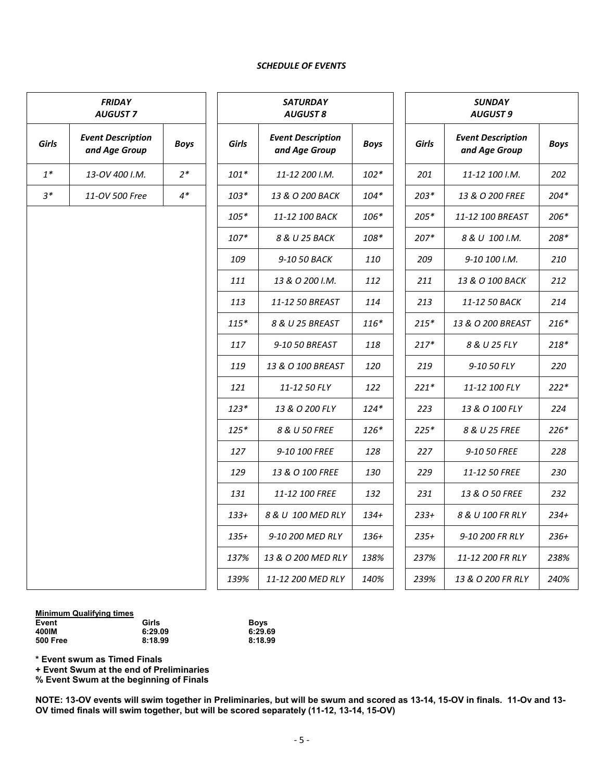### *SCHEDULE OF EVENTS*

| <b>FRIDAY</b><br><b>AUGUST 7</b> |                                                          |      | <b>SATURDAY</b><br><b>AUGUST 8</b> | <b>SUNDAY</b><br><b>AUGUST 9</b>          |             |              |                                           |             |  |
|----------------------------------|----------------------------------------------------------|------|------------------------------------|-------------------------------------------|-------------|--------------|-------------------------------------------|-------------|--|
| <b>Girls</b>                     | <b>Event Description</b><br><b>Boys</b><br>and Age Group |      | <b>Girls</b>                       | <b>Event Description</b><br>and Age Group | <b>Boys</b> | <b>Girls</b> | <b>Event Description</b><br>and Age Group | <b>Boys</b> |  |
| $1^*$                            | 13-OV 400 I.M.                                           | $2*$ | $101*$                             | 11-12 200 I.M.                            | $102*$      | 201          | 11-12 100 I.M.                            | 202         |  |
| $3*$                             | 11-OV 500 Free                                           | $4*$ | $103*$                             | 13 & O 200 BACK                           | $104*$      | $203*$       | 13 & O 200 FREE                           | $204*$      |  |
|                                  |                                                          |      | $105*$                             | 11-12 100 BACK                            | 106*        | 205*         | 11-12 100 BREAST                          | 206*        |  |
|                                  |                                                          |      | $107*$                             | 8 & U 25 BACK                             | 108*        | 207*         | 8 & U 100 I.M.                            | 208*        |  |
|                                  |                                                          |      | 109<br>111                         | 9-10 50 BACK                              | 110         | 209          | 9-10 100 I.M.                             | 210         |  |
|                                  |                                                          |      |                                    | 13 & O 200 I.M.                           | 112         | 211          | 13 & O 100 BACK                           | 212         |  |
|                                  |                                                          |      | 113                                | 11-12 50 BREAST                           | 114         | 213          | 11-12 50 BACK                             | 214         |  |
|                                  |                                                          |      | $115*$                             | 8 & U 25 BREAST                           | $116*$      | $215*$       | 13 & O 200 BREAST                         | $216*$      |  |
|                                  |                                                          |      | 117                                | 9-10 50 BREAST                            | 118         | $217*$       | 8 & U 25 FLY                              | 218*        |  |
|                                  |                                                          |      | 119                                | 13 & O 100 BREAST                         | 120         | 219          | 9-10 50 FLY                               | 220         |  |
|                                  |                                                          |      | 121                                | 11-12 50 FLY                              | 122         | $221*$       | 11-12 100 FLY                             | $222*$      |  |
|                                  |                                                          |      | $123*$                             | 13 & O 200 FLY                            | $124*$      | 223          | 13 & O 100 FLY                            | 224         |  |
|                                  |                                                          |      | $125*$                             | 8 & U 50 FREE                             | $126*$      | $225*$       | 8 & U 25 FREE                             | $226*$      |  |
|                                  |                                                          |      | 127                                | 9-10 100 FREE                             | 128         | 227          | 9-10 50 FREE                              | 228         |  |
|                                  |                                                          |      | 129                                | 13 & O 100 FREE                           | 130         | 229          | 11-12 50 FREE                             | 230         |  |
|                                  |                                                          |      | 131                                | 11-12 100 FREE                            | 132         | 231          | 13 & O 50 FREE                            | 232         |  |
|                                  |                                                          |      | $133+$                             | 8 & U 100 MED RLY                         | $134+$      | $233+$       | 8 & U 100 FR RLY                          | $234+$      |  |
|                                  |                                                          |      | $135+$                             | 9-10 200 MED RLY                          | $136+$      | $235+$       | 9-10 200 FR RLY                           | $236+$      |  |
|                                  |                                                          |      | 137%                               | 13 & O 200 MED RLY                        | 138%        | 237%         | 11-12 200 FR RLY                          | 238%        |  |
|                                  |                                                          |      | 139%                               | 11-12 200 MED RLY                         | 140%        | 239%         | 13 $R \cap 200$ FR RIV                    | 240%        |  |

| <b>SATURDAY</b><br><b>AUGUST 8</b> |                                           |             |  |              | <b>SUNDAY</b><br><b>AUGUST 9</b>          |             |
|------------------------------------|-------------------------------------------|-------------|--|--------------|-------------------------------------------|-------------|
| <b>Girls</b>                       | <b>Event Description</b><br>and Age Group | <b>Boys</b> |  | <b>Girls</b> | <b>Event Description</b><br>and Age Group | <b>Boys</b> |
| $101*$                             | 11-12 200 I.M.                            | $102*$      |  | 201          | 11-12 100 I.M.                            | 202         |
| $103*$                             | 13 & O 200 BACK                           | $104*$      |  | $203*$       | 13 & O 200 FREE                           | $204*$      |
| 105*                               | 11-12 100 BACK                            | 106*        |  | $205*$       | 11-12 100 BREAST                          | 206*        |
| 107*                               | 8 & U 25 BACK                             | 108*        |  | $207*$       | 8 & U 100 I.M.                            | $208*$      |
| 109                                | 9-10 50 BACK                              | 110         |  | 209          | 9-10 100 I.M.                             | 210         |
| 111                                | 13 & O 200 I.M.                           | 112         |  | 211          | 13 & O 100 BACK                           | 212         |
| 113                                | 11-12 50 BREAST                           | 114         |  | 213          | 11-12 50 BACK                             | 214         |
| $115*$                             | 8 & U 25 BREAST                           | $116*$      |  | $215*$       | 13 & O 200 BREAST                         | $216*$      |
| 117                                | 9-10 50 BREAST                            | 118         |  | $217*$       | 8 & U 25 FLY                              | $218*$      |
| 119                                | 13 & O 100 BREAST                         | 120         |  | 219          | 9-10 50 FLY                               | 220         |
| 121                                | 11-12 50 FLY                              | 122         |  | $221*$       | 11-12 100 FLY                             | $222*$      |
| $123*$                             | 13 & O 200 FLY                            | $124*$      |  | 223          | 13 & O 100 FLY                            | 224         |
| $125*$                             | 8 & U 50 FREE                             | $126*$      |  | $225*$       | 8 & U 25 FREE                             | 226*        |
| 127                                | 9-10 100 FREE                             | 128         |  | 227          | 9-10 50 FREE                              | 228         |
| 129                                | 13 & O 100 FREE                           | 130         |  | 229          | 11-12 50 FREE                             | 230         |
| 131                                | 11-12 100 FREE                            | 132         |  | 231          | 13 & O 50 FREE                            | 232         |
| $133+$                             | 8 & U 100 MED RLY                         | $134+$      |  | $233+$       | 8 & U 100 FR RLY                          | 234+        |
| $135+$                             | 9-10 200 MED RLY                          | $136+$      |  | $235+$       | 9-10 200 FR RLY                           | $236+$      |
| 137%                               | 13 & O 200 MED RLY                        | 138%        |  | 237%         | 11-12 200 FR RLY                          | 238%        |
| 139%                               | 11-12 200 MED RLY                         | 140%        |  | 239%         | 13 & O 200 FR RLY                         | 240%        |

## **Minimum Qualifying times**

| Event           | Girls   | Boys  |
|-----------------|---------|-------|
| 400IM           | 6:29.09 | 6:29. |
| <b>500 Free</b> | 8:18.99 | 8:18. |

**\* Event swum as Timed Finals**

**+ Event Swum at the end of Preliminaries**

**% Event Swum at the beginning of Finals**

NOTE: 13-OV events will swim together in Preliminaries, but will be swum and scored as 13-14, 15-OV in finals. 11-Ov and 13-**OV timed finals will swim together, but will be scored separately (11-12, 13-14, 15-OV)**

**400IM 6:29.09 6:29.69 500 Free 8:18.99 8:18.99**